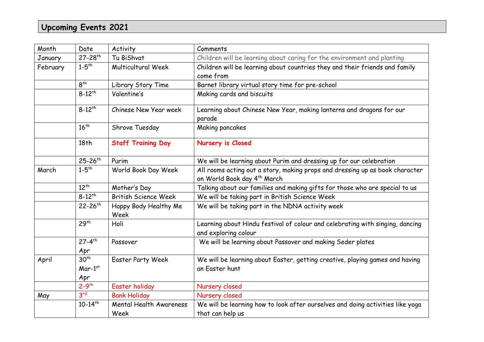## **Upcoming Events 2021**

| Date                          | Activity                                                                     | Comments                                                                                                                |
|-------------------------------|------------------------------------------------------------------------------|-------------------------------------------------------------------------------------------------------------------------|
| $27 - 28$ <sup>th</sup>       | Tu BiShvat                                                                   | Children will be learning about caring for the environment and planting                                                 |
| $1 - 5$ <sup>th</sup>         | Multicultural Week                                                           | Children will be learning about countries they and their friends and family<br>come from                                |
| 8 <sup>th</sup>               | Library Story Time                                                           | Barnet library virtual story time for pre-school                                                                        |
| $8 - 12^{th}$                 | Valentine's                                                                  | Making cards and biscuits                                                                                               |
| $8 - 12^{th}$                 | Chinese New Year week                                                        | Learning about Chinese New Year, making lanterns and dragons for our<br>parade                                          |
| $16^{th}$                     | Shrove Tuesday                                                               | Making pancakes                                                                                                         |
| 18th                          | <b>Staff Training Day</b>                                                    | Nursery is Closed                                                                                                       |
| $25 - 26$ <sup>th</sup>       | Purim                                                                        | We will be learning about Purim and dressing up for our celebration                                                     |
| $1 - 5$ <sup>th</sup>         | World Book Day Week                                                          | All rooms acting out a story, making props and dressing up as book character<br>on World Book day 4 <sup>th</sup> March |
| $12^{th}$                     | Mother's Day                                                                 | Talking about our families and making gifts for those who are special to us                                             |
| $8 - 12^{th}$                 | <b>British Science Week</b>                                                  | We will be taking part in British Science Week                                                                          |
| $22 - 26$ <sup>th</sup>       | Happy Body Healthy Me<br>Week                                                | We will be taking part in the NDNA activity week                                                                        |
| 29 <sup>th</sup>              | Holi                                                                         | Learning about Hindu festival of colour and celebrating with singing, dancing<br>and exploring colour                   |
| $27 - 4$ <sup>th</sup><br>Apr | Passover                                                                     | We will be learning about Passover and making Seder plates                                                              |
| 30 <sup>th</sup>              | <b>Easter Party Week</b>                                                     | We will be learning about Easter, getting creative, playing games and having<br>an Easter hunt                          |
|                               |                                                                              |                                                                                                                         |
|                               |                                                                              | Nursery closed                                                                                                          |
|                               |                                                                              | Nursery closed                                                                                                          |
|                               |                                                                              | We will be learning how to look after ourselves and doing activities like yoga                                          |
|                               |                                                                              | that can help us                                                                                                        |
|                               | $Mar-1st$<br>Apr<br>$2 - 9$ <sup>th</sup><br>3 <sup>rd</sup><br>$10-14^{th}$ | Easter holiday<br><b>Bank Holiday</b><br><b>Mental Health Awareness</b><br>Week                                         |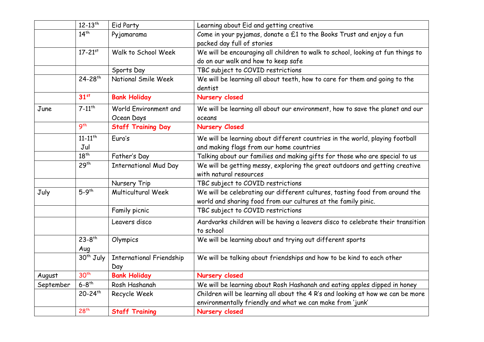|           | $12 - 13$ <sup>th</sup>        | Eid Party                              | Learning about Eid and getting creative                                                                                                      |
|-----------|--------------------------------|----------------------------------------|----------------------------------------------------------------------------------------------------------------------------------------------|
|           | $14^{th}$                      | Pyjamarama                             | Come in your pyjamas, donate a £1 to the Books Trust and enjoy a fun<br>packed day full of stories                                           |
|           | $17 - 21^{st}$                 | Walk to School Week                    | We will be encouraging all children to walk to school, looking at fun things to<br>do on our walk and how to keep safe                       |
|           |                                | Sports Day                             | TBC subject to COVID restrictions                                                                                                            |
|           | 24-28 <sup>th</sup>            | National Smile Week                    | We will be learning all about teeth, how to care for them and going to the<br>dentist                                                        |
|           | 31 <sup>st</sup>               | <b>Bank Holiday</b>                    | Nursery closed                                                                                                                               |
| June      | $7 - 11$ <sup>th</sup>         | World Environment and<br>Ocean Days    | We will be learning all about our environment, how to save the planet and our<br>oceans                                                      |
|           | 9 <sup>th</sup>                | <b>Staff Training Day</b>              | <b>Nursery Closed</b>                                                                                                                        |
|           | $11 - 11$ <sup>th</sup><br>Jul | Euro's                                 | We will be learning about different countries in the world, playing football<br>and making flags from our home countries                     |
|           | $18^{th}$                      | Father's Day                           | Talking about our families and making gifts for those who are special to us                                                                  |
|           | 29 <sup>th</sup>               | <b>International Mud Day</b>           | We will be getting messy, exploring the great outdoors and getting creative<br>with natural resources                                        |
|           |                                | Nursery Trip                           | TBC subject to COVID restrictions                                                                                                            |
| July      | $5-9$ <sup>th</sup>            | <b>Multicultural Week</b>              | We will be celebrating our different cultures, tasting food from around the<br>world and sharing food from our cultures at the family pinic. |
|           |                                | Family picnic                          | TBC subject to COVID restrictions                                                                                                            |
|           |                                | Leavers disco                          | Aardvarks children will be having a leavers disco to celebrate their transition<br>to school                                                 |
|           | $23 - 8$ <sup>th</sup><br>Aug  | Olympics                               | We will be learning about and trying out different sports                                                                                    |
|           | 30 <sup>th</sup> July          | <b>International Friendship</b><br>Day | We will be talking about friendships and how to be kind to each other                                                                        |
| August    | 30 <sup>th</sup>               | <b>Bank Holiday</b>                    | Nursery closed                                                                                                                               |
| September | $6 - 8$ <sup>th</sup>          | Rosh Hashanah                          | We will be learning about Rosh Hashanah and eating apples dipped in honey                                                                    |
|           | 20-24th                        | Recycle Week                           | Children will be learning all about the 4 R's and looking at how we can be more<br>environmentally friendly and what we can make from 'junk' |
|           | 28 <sup>th</sup>               | <b>Staff Training</b>                  | Nursery closed                                                                                                                               |